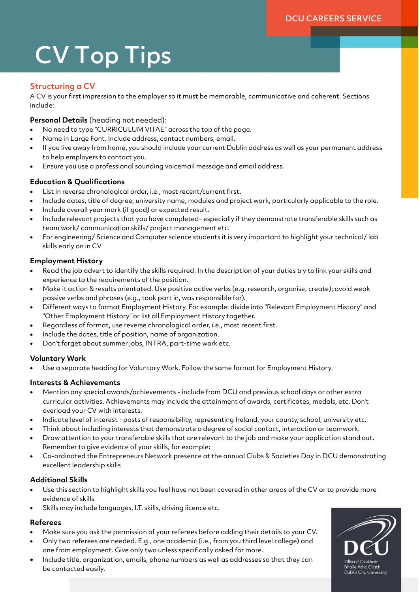# CV Top Tips

## **Structuring a CV**

A CV is your first impression to the employer so it must be memorable, communicative and coherent. Sections include:

**Personal Details** (heading not needed):

- No need to type "CURRICULUM VITAE" across the top of the page.
- Name in Large Font. Include address, contact numbers, email.
- If you live away from home, you should include your current Dublin address as well as your permanent address to help employers to contact you.
- Ensure you use a professional sounding voicemail message and email address.

## **Education & Qualifications**

- List in reverse chronological order, i.e., most recent/current first.
- Include dates, title of degree, university name, modules and project work, particularly applicable to the role.
- Include overall year mark (if good) or expected result.
- Include relevant projects that you have completed- especially if they demonstrate transferable skills such as team work/ communication skills/ project management etc.
- For engineering/ Science and Computer science students it is very important to highlight your technical/ lab skills early on in CV

#### **Employment History**

- Read the job advert to identify the skills required: In the description of your duties try to link your skills and experience to the requirements of the position.
- Make it action & results orientated. Use positive active verbs (e.g. research, organise, create); avoid weak passive verbs and phrases (e.g., took part in, was responsible for).
- Different ways to format Employment History. For example: divide into "Relevant Employment History" and "Other Employment History" or list all Employment History together.
- Regardless of format, use reverse chronological order, i.e., most recent first.
- Include the dates, title of position, name of organization.
- Don't forget about summer jobs, INTRA, part-time work etc.

#### **Voluntary Work**

Use a separate heading for Voluntary Work. Follow the same format for Employment History.

#### **Interests & Achievements**

- Mention any special awards/achievements include from DCU and previous school days or other extra curricular activities. Achievements may include the attainment of awards, certificates, medals, etc. Don't overload your CV with interests.
- Indicate level of interest posts of responsibility, representing Ireland, your county, school, university etc.
- Think about including interests that demonstrate a degree of social contact, interaction or teamwork.
- Draw attention to your transferable skills that are relevant to the job and make your application stand out. Remember to give evidence of your skills, for example:
- Co-ordinated the Entrepreneurs Network presence at the annual Clubs & Societies Day in DCU demonstrating excellent leadership skills

#### **Additional Skills**

- Use this section to highlight skills you feel have not been covered in other areas of the CV or to provide more evidence of skills
- Skills may include languages, I.T. skills, driving licence etc.

## **Referees**

- Make sure you ask the permission of your referees before adding their details to your CV.
- Only two referees are needed. E.g., one academic (i.e., from you third level college) and one from employment. Give only two unless specifically asked for more.
- Include title, organization, emails, phone numbers as well as addresses so that they can be contacted easily.